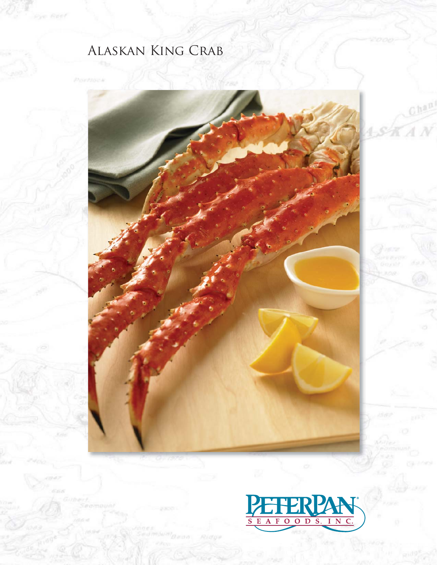# Alaskan King Crab